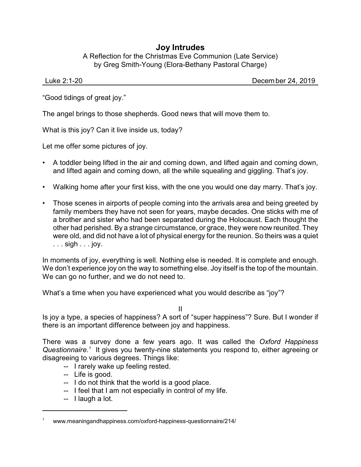## **Joy Intrudes**

A Reflection for the Christmas Eve Communion (Late Service) by Greg Smith-Young (Elora-Bethany Pastoral Charge)

Luke 2:1-20 Decem ber 24, 2019

"Good tidings of great joy."

The angel brings to those shepherds. Good news that will move them to.

What is this joy? Can it live inside us, today?

Let me offer some pictures of joy.

- A toddler being lifted in the air and coming down, and lifted again and coming down, and lifted again and coming down, all the while squealing and giggling. That's joy.
- Walking home after your first kiss, with the one you would one day marry. That's joy.
- Those scenes in airports of people coming into the arrivals area and being greeted by family members they have not seen for years, maybe decades. One sticks with me of a brother and sister who had been separated during the Holocaust. Each thought the other had perished. By a strange circumstance, or grace, they were now reunited. They were old, and did not have a lot of physical energy for the reunion. So theirs was a quiet . . . sigh . . . joy.

In moments of joy, everything is well. Nothing else is needed. It is complete and enough. We don't experience joy on the way to something else. Joy itself is the top of the mountain. We can go no further, and we do not need to.

What's a time when you have experienced what you would describe as "joy"?

II

Is joy a type, a species of happiness? A sort of "super happiness"? Sure. But I wonder if there is an important difference between joy and happiness.

There was a survey done a few years ago. It was called the *Oxford Happiness* Questionnaire.<sup>1</sup> It gives you twenty-nine statements you respond to, either agreeing or disagreeing to various degrees. Things like:

- -- I rarely wake up feeling rested.
- -- Life is good.
- -- I do not think that the world is a good place.
- -- I feel that I am not especially in control of my life.
- -- I laugh a lot.

<sup>1</sup> www.meaningandhappiness.com/oxford-happiness-questionnaire/214/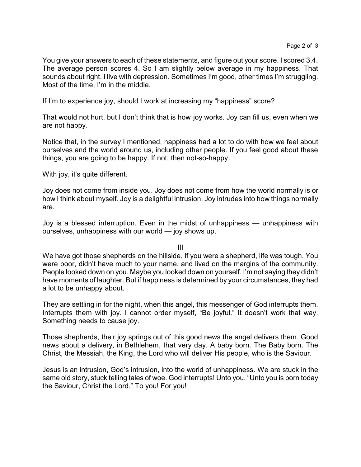You give your answers to each of these statements, and figure out your score. I scored 3.4. The average person scores 4. So I am slightly below average in my happiness. That sounds about right. I live with depression. Sometimes I'm good, other times I'm struggling. Most of the time, I'm in the middle.

If I'm to experience joy, should I work at increasing my "happiness" score?

That would not hurt, but I don't think that is how joy works. Joy can fill us, even when we are not happy.

Notice that, in the survey I mentioned, happiness had a lot to do with how we feel about ourselves and the world around us, including other people. If you feel good about these things, you are going to be happy. If not, then not-so-happy.

With joy, it's quite different.

Joy does not come from inside you. Joy does not come from how the world normally is or how I think about myself. Joy is a delightful intrusion. Joy intrudes into how things normally are.

Joy is a blessed interruption. Even in the midst of unhappiness — unhappiness with ourselves, unhappiness with our world — joy shows up.

III

We have got those shepherds on the hillside. If you were a shepherd, life was tough. You were poor, didn't have much to your name, and lived on the margins of the community. People looked down on you. Maybe you looked down on yourself. I'm not saying they didn't have moments of laughter. But if happiness is determined by your circumstances, they had a lot to be unhappy about.

They are settling in for the night, when this angel, this messenger of God interrupts them. Interrupts them with joy. I cannot order myself, "Be joyful." It doesn't work that way. Something needs to cause joy.

Those shepherds, their joy springs out of this good news the angel delivers them. Good news about a delivery, in Bethlehem, that very day. A baby born. The Baby born. The Christ, the Messiah, the King, the Lord who will deliver His people, who is the Saviour.

Jesus is an intrusion, God's intrusion, into the world of unhappiness. We are stuck in the same old story, stuck telling tales of woe. God interrupts! Unto you. "Unto you is born today the Saviour, Christ the Lord." To you! For you!